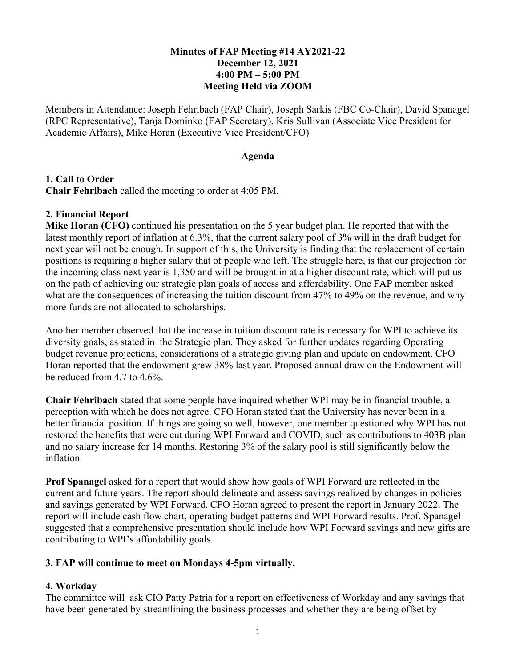# **Minutes of FAP Meeting #14 AY2021-22 December 12, 2021 4:00 PM – 5:00 PM Meeting Held via ZOOM**

Members in Attendance: Joseph Fehribach (FAP Chair), Joseph Sarkis (FBC Co-Chair), David Spanagel (RPC Representative), Tanja Dominko (FAP Secretary), Kris Sullivan (Associate Vice President for Academic Affairs), Mike Horan (Executive Vice President/CFO)

#### **Agenda**

### **1. Call to Order Chair Fehribach** called the meeting to order at 4:05 PM.

### **2. Financial Report**

**Mike Horan (CFO)** continued his presentation on the 5 year budget plan. He reported that with the latest monthly report of inflation at 6.3%, that the current salary pool of 3% will in the draft budget for next year will not be enough. In support of this, the University is finding that the replacement of certain positions is requiring a higher salary that of people who left. The struggle here, is that our projection for the incoming class next year is 1,350 and will be brought in at a higher discount rate, which will put us on the path of achieving our strategic plan goals of access and affordability. One FAP member asked what are the consequences of increasing the tuition discount from 47% to 49% on the revenue, and why more funds are not allocated to scholarships.

Another member observed that the increase in tuition discount rate is necessary for WPI to achieve its diversity goals, as stated in the Strategic plan. They asked for further updates regarding Operating budget revenue projections, considerations of a strategic giving plan and update on endowment. CFO Horan reported that the endowment grew 38% last year. Proposed annual draw on the Endowment will be reduced from 4.7 to 4.6%.

**Chair Fehribach** stated that some people have inquired whether WPI may be in financial trouble, a perception with which he does not agree. CFO Horan stated that the University has never been in a better financial position. If things are going so well, however, one member questioned why WPI has not restored the benefits that were cut during WPI Forward and COVID, such as contributions to 403B plan and no salary increase for 14 months. Restoring 3% of the salary pool is still significantly below the inflation.

**Prof Spanagel** asked for a report that would show how goals of WPI Forward are reflected in the current and future years. The report should delineate and assess savings realized by changes in policies and savings generated by WPI Forward. CFO Horan agreed to present the report in January 2022. The report will include cash flow chart, operating budget patterns and WPI Forward results. Prof. Spanagel suggested that a comprehensive presentation should include how WPI Forward savings and new gifts are contributing to WPI's affordability goals.

# **3. FAP will continue to meet on Mondays 4-5pm virtually.**

# **4. Workday**

The committee will ask CIO Patty Patria for a report on effectiveness of Workday and any savings that have been generated by streamlining the business processes and whether they are being offset by